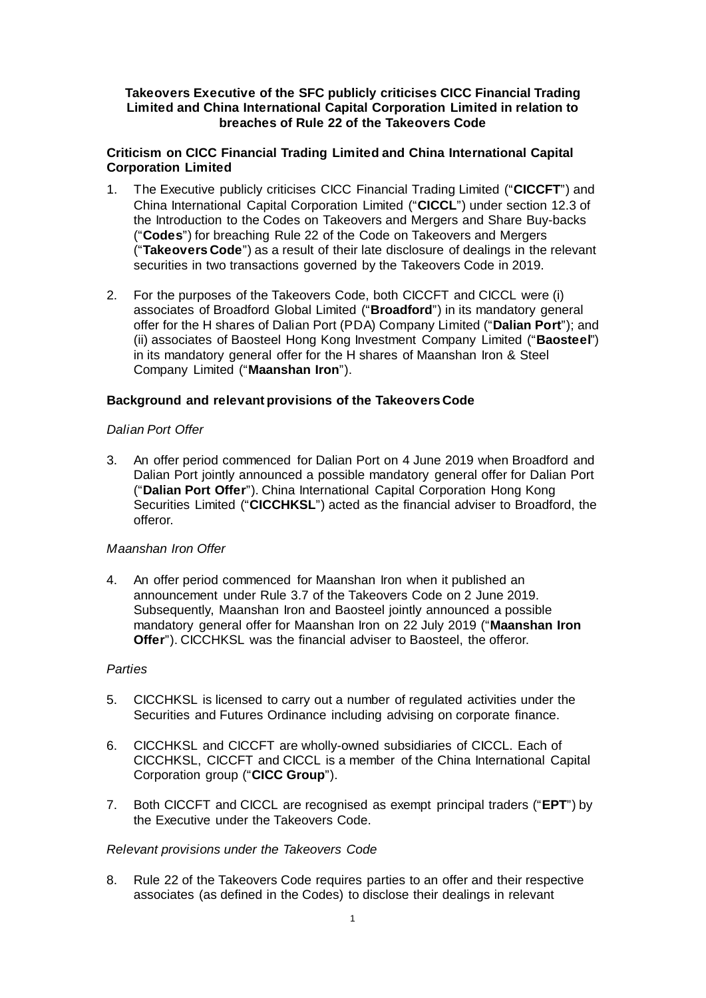# **Takeovers Executive of the SFC publicly criticises CICC Financial Trading Limited and China International Capital Corporation Limited in relation to breaches of Rule 22 of the Takeovers Code**

# **Criticism on CICC Financial Trading Limited and China International Capital Corporation Limited**

- 1. The Executive publicly criticises CICC Financial Trading Limited ("**CICCFT**") and China International Capital Corporation Limited ("**CICCL**") under section 12.3 of the Introduction to the Codes on Takeovers and Mergers and Share Buy-backs ("**Codes**") for breaching Rule 22 of the Code on Takeovers and Mergers ("**Takeovers Code**") as a result of their late disclosure of dealings in the relevant securities in two transactions governed by the Takeovers Code in 2019.
- 2. For the purposes of the Takeovers Code, both CICCFT and CICCL were (i) associates of Broadford Global Limited ("**Broadford**") in its mandatory general offer for the H shares of Dalian Port (PDA) Company Limited ("**Dalian Port**"); and (ii) associates of Baosteel Hong Kong Investment Company Limited ("**Baosteel**") in its mandatory general offer for the H shares of Maanshan Iron & Steel Company Limited ("**Maanshan Iron**").

# **Background and relevant provisions of the Takeovers Code**

# *Dalian Port Offer*

3. An offer period commenced for Dalian Port on 4 June 2019 when Broadford and Dalian Port jointly announced a possible mandatory general offer for Dalian Port ("**Dalian Port Offer**"). China International Capital Corporation Hong Kong Securities Limited ("**CICCHKSL**") acted as the financial adviser to Broadford, the offeror.

## *Maanshan Iron Offer*

4. An offer period commenced for Maanshan Iron when it published an announcement under Rule 3.7 of the Takeovers Code on 2 June 2019. Subsequently, Maanshan Iron and Baosteel jointly announced a possible mandatory general offer for Maanshan Iron on 22 July 2019 ("**Maanshan Iron Offer**"). CICCHKSL was the financial adviser to Baosteel, the offeror.

## *Parties*

- 5. CICCHKSL is licensed to carry out a number of regulated activities under the Securities and Futures Ordinance including advising on corporate finance.
- 6. CICCHKSL and CICCFT are wholly-owned subsidiaries of CICCL. Each of CICCHKSL, CICCFT and CICCL is a member of the China International Capital Corporation group ("**CICC Group**").
- 7. Both CICCFT and CICCL are recognised as exempt principal traders ("**EPT**") by the Executive under the Takeovers Code.

## *Relevant provisions under the Takeovers Code*

8. Rule 22 of the Takeovers Code requires parties to an offer and their respective associates (as defined in the Codes) to disclose their dealings in relevant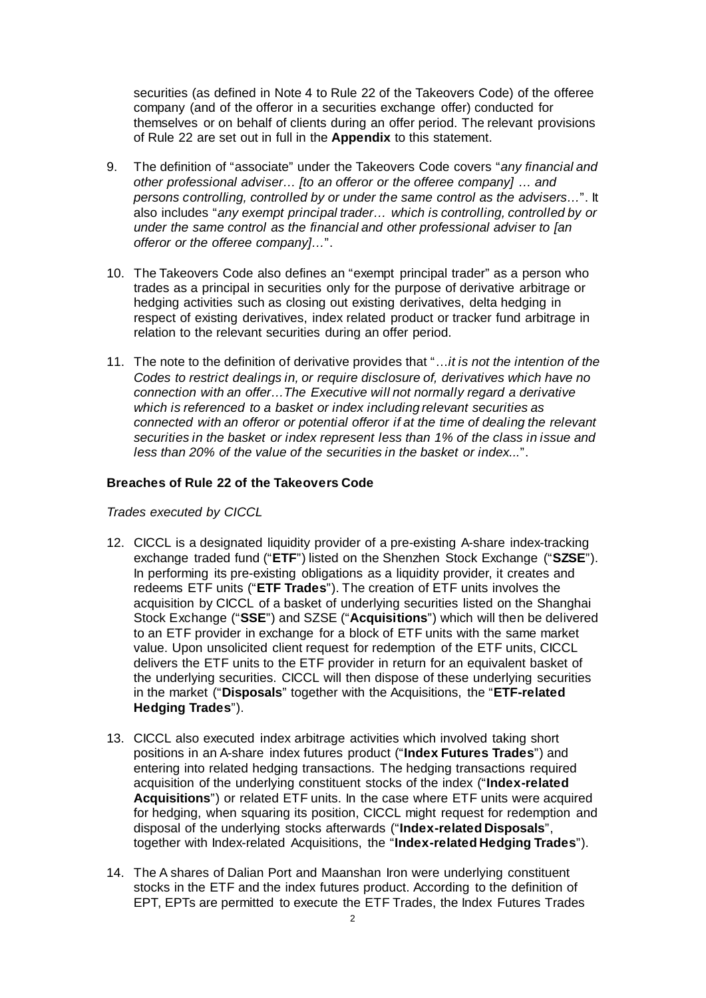securities (as defined in Note 4 to Rule 22 of the Takeovers Code) of the offeree company (and of the offeror in a securities exchange offer) conducted for themselves or on behalf of clients during an offer period. The relevant provisions of Rule 22 are set out in full in the **Appendix** to this statement.

- 9. The definition of "associate" under the Takeovers Code covers "*any financial and other professional adviser… [to an offeror or the offeree company] … and persons controlling, controlled by or under the same control as the advisers…*". It also includes "*any exempt principal trader… which is controlling, controlled by or under the same control as the financial and other professional adviser to [an offeror or the offeree company]…*".
- 10. The Takeovers Code also defines an "exempt principal trader" as a person who trades as a principal in securities only for the purpose of derivative arbitrage or hedging activities such as closing out existing derivatives, delta hedging in respect of existing derivatives, index related product or tracker fund arbitrage in relation to the relevant securities during an offer period.
- 11. The note to the definition of derivative provides that "…*it is not the intention of the Codes to restrict dealings in, or require disclosure of, derivatives which have no connection with an offer…The Executive will not normally regard a derivative which is referenced to a basket or index including relevant securities as connected with an offeror or potential offeror if at the time of dealing the relevant securities in the basket or index represent less than 1% of the class in issue and less than 20% of the value of the securities in the basket or index...*".

## **Breaches of Rule 22 of the Takeovers Code**

*Trades executed by CICCL* 

- 12. CICCL is a designated liquidity provider of a pre-existing A-share index-tracking exchange traded fund ("**ETF**") listed on the Shenzhen Stock Exchange ("**SZSE**"). In performing its pre-existing obligations as a liquidity provider, it creates and redeems ETF units ("**ETF Trades**"). The creation of ETF units involves the acquisition by CICCL of a basket of underlying securities listed on the Shanghai Stock Exchange ("**SSE**") and SZSE ("**Acquisitions**") which will then be delivered to an ETF provider in exchange for a block of ETF units with the same market value. Upon unsolicited client request for redemption of the ETF units, CICCL delivers the ETF units to the ETF provider in return for an equivalent basket of the underlying securities. CICCL will then dispose of these underlying securities in the market ("**Disposals**" together with the Acquisitions, the "**ETF-related Hedging Trades**").
- 13. CICCL also executed index arbitrage activities which involved taking short positions in an A-share index futures product ("**Index Futures Trades**") and entering into related hedging transactions. The hedging transactions required acquisition of the underlying constituent stocks of the index ("**Index-related Acquisitions**") or related ETF units. In the case where ETF units were acquired for hedging, when squaring its position, CICCL might request for redemption and disposal of the underlying stocks afterwards ("**Index-related Disposals**", together with Index-related Acquisitions, the "**Index-related Hedging Trades**").
- 14. The A shares of Dalian Port and Maanshan Iron were underlying constituent stocks in the ETF and the index futures product. According to the definition of EPT, EPTs are permitted to execute the ETF Trades, the Index Futures Trades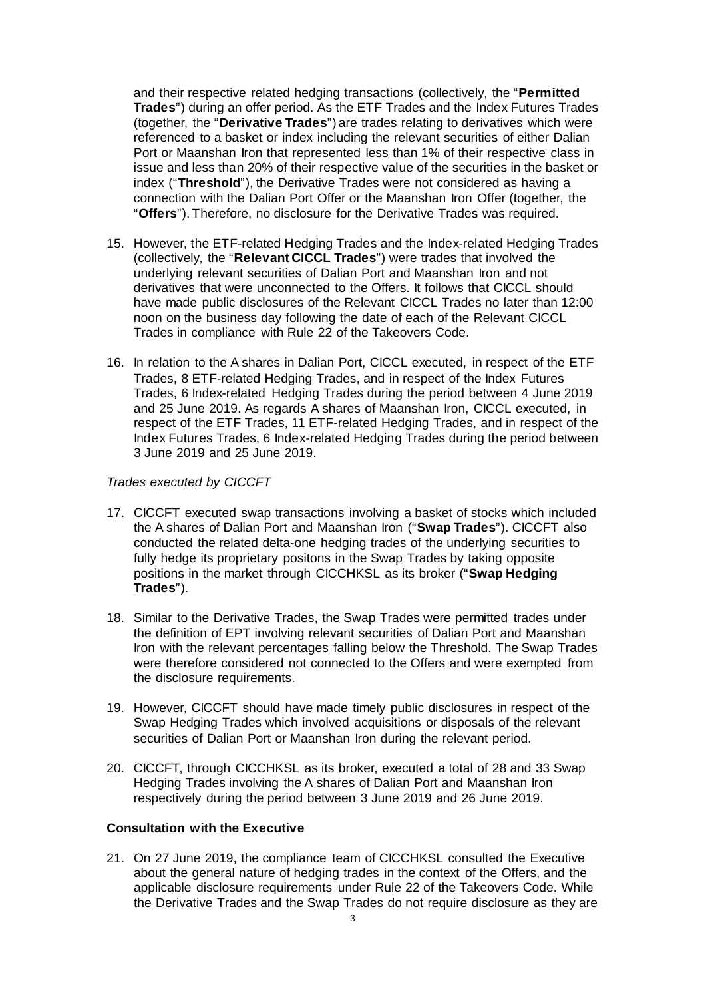and their respective related hedging transactions (collectively, the "**Permitted Trades**") during an offer period. As the ETF Trades and the Index Futures Trades (together, the "**Derivative Trades**") are trades relating to derivatives which were referenced to a basket or index including the relevant securities of either Dalian Port or Maanshan Iron that represented less than 1% of their respective class in issue and less than 20% of their respective value of the securities in the basket or index ("**Threshold**"), the Derivative Trades were not considered as having a connection with the Dalian Port Offer or the Maanshan Iron Offer (together, the "**Offers**"). Therefore, no disclosure for the Derivative Trades was required.

- 15. However, the ETF-related Hedging Trades and the Index-related Hedging Trades (collectively, the "**Relevant CICCL Trades**") were trades that involved the underlying relevant securities of Dalian Port and Maanshan Iron and not derivatives that were unconnected to the Offers. It follows that CICCL should have made public disclosures of the Relevant CICCL Trades no later than 12:00 noon on the business day following the date of each of the Relevant CICCL Trades in compliance with Rule 22 of the Takeovers Code.
- 16. In relation to the A shares in Dalian Port, CICCL executed, in respect of the ETF Trades, 8 ETF-related Hedging Trades, and in respect of the Index Futures Trades, 6 Index-related Hedging Trades during the period between 4 June 2019 and 25 June 2019. As regards A shares of Maanshan Iron, CICCL executed, in respect of the ETF Trades, 11 ETF-related Hedging Trades, and in respect of the Index Futures Trades, 6 Index-related Hedging Trades during the period between 3 June 2019 and 25 June 2019.

#### *Trades executed by CICCFT*

- 17. CICCFT executed swap transactions involving a basket of stocks which included the A shares of Dalian Port and Maanshan Iron ("**Swap Trades**"). CICCFT also conducted the related delta-one hedging trades of the underlying securities to fully hedge its proprietary positons in the Swap Trades by taking opposite positions in the market through CICCHKSL as its broker ("**Swap Hedging Trades**").
- 18. Similar to the Derivative Trades, the Swap Trades were permitted trades under the definition of EPT involving relevant securities of Dalian Port and Maanshan Iron with the relevant percentages falling below the Threshold. The Swap Trades were therefore considered not connected to the Offers and were exempted from the disclosure requirements.
- 19. However, CICCFT should have made timely public disclosures in respect of the Swap Hedging Trades which involved acquisitions or disposals of the relevant securities of Dalian Port or Maanshan Iron during the relevant period.
- 20. CICCFT, through CICCHKSL as its broker, executed a total of 28 and 33 Swap Hedging Trades involving the A shares of Dalian Port and Maanshan Iron respectively during the period between 3 June 2019 and 26 June 2019.

# **Consultation with the Executive**

21. On 27 June 2019, the compliance team of CICCHKSL consulted the Executive about the general nature of hedging trades in the context of the Offers, and the applicable disclosure requirements under Rule 22 of the Takeovers Code. While the Derivative Trades and the Swap Trades do not require disclosure as they are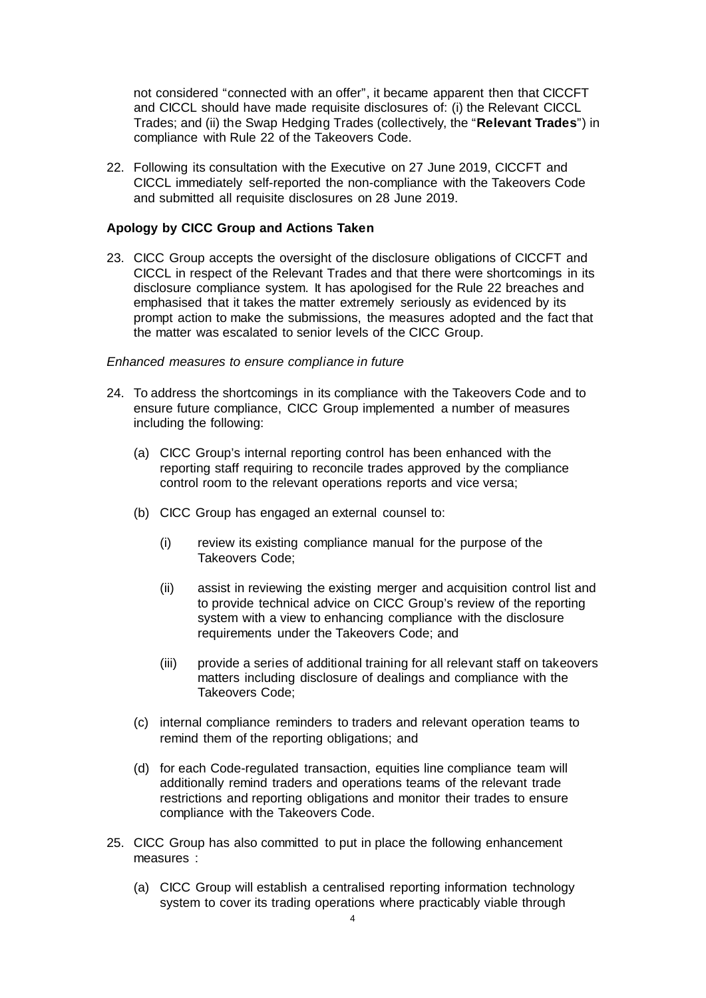not considered "connected with an offer", it became apparent then that CICCFT and CICCL should have made requisite disclosures of: (i) the Relevant CICCL Trades; and (ii) the Swap Hedging Trades (collectively, the "**Relevant Trades**") in compliance with Rule 22 of the Takeovers Code.

22. Following its consultation with the Executive on 27 June 2019, CICCFT and CICCL immediately self-reported the non-compliance with the Takeovers Code and submitted all requisite disclosures on 28 June 2019.

#### **Apology by CICC Group and Actions Taken**

23. CICC Group accepts the oversight of the disclosure obligations of CICCFT and CICCL in respect of the Relevant Trades and that there were shortcomings in its disclosure compliance system. It has apologised for the Rule 22 breaches and emphasised that it takes the matter extremely seriously as evidenced by its prompt action to make the submissions, the measures adopted and the fact that the matter was escalated to senior levels of the CICC Group.

#### *Enhanced measures to ensure compliance in future*

- 24. To address the shortcomings in its compliance with the Takeovers Code and to ensure future compliance, CICC Group implemented a number of measures including the following:
	- (a) CICC Group's internal reporting control has been enhanced with the reporting staff requiring to reconcile trades approved by the compliance control room to the relevant operations reports and vice versa;
	- (b) CICC Group has engaged an external counsel to:
		- (i) review its existing compliance manual for the purpose of the Takeovers Code;
		- (ii) assist in reviewing the existing merger and acquisition control list and to provide technical advice on CICC Group's review of the reporting system with a view to enhancing compliance with the disclosure requirements under the Takeovers Code; and
		- (iii) provide a series of additional training for all relevant staff on takeovers matters including disclosure of dealings and compliance with the Takeovers Code;
	- (c) internal compliance reminders to traders and relevant operation teams to remind them of the reporting obligations; and
	- (d) for each Code-regulated transaction, equities line compliance team will additionally remind traders and operations teams of the relevant trade restrictions and reporting obligations and monitor their trades to ensure compliance with the Takeovers Code.
- 25. CICC Group has also committed to put in place the following enhancement measures :
	- (a) CICC Group will establish a centralised reporting information technology system to cover its trading operations where practicably viable through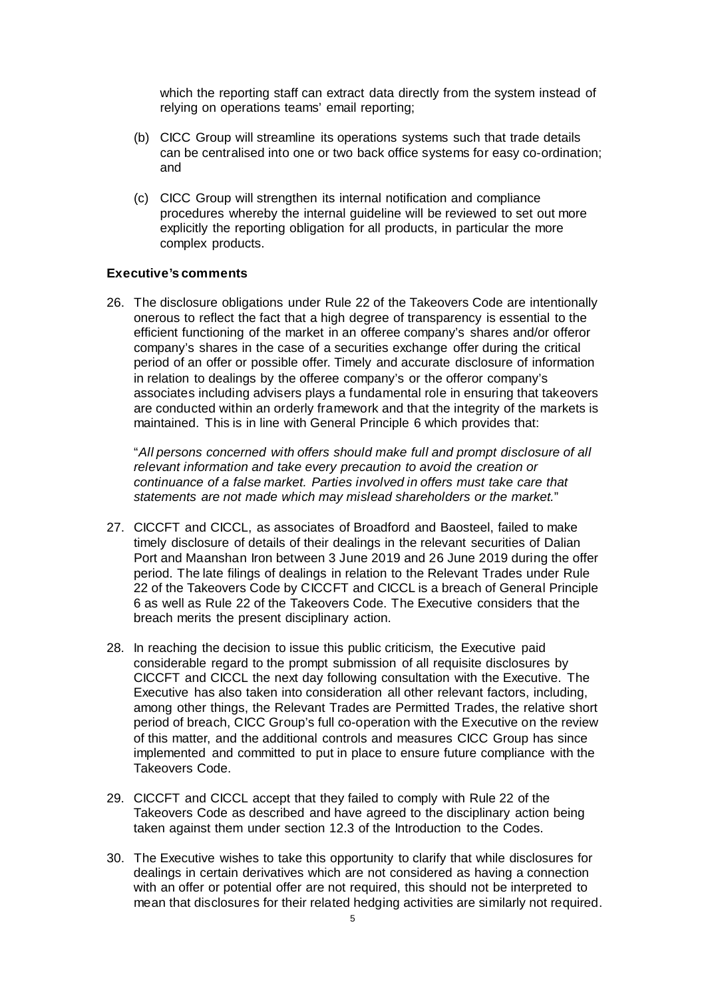which the reporting staff can extract data directly from the system instead of relying on operations teams' email reporting;

- (b) CICC Group will streamline its operations systems such that trade details can be centralised into one or two back office systems for easy co-ordination; and
- (c) CICC Group will strengthen its internal notification and compliance procedures whereby the internal guideline will be reviewed to set out more explicitly the reporting obligation for all products, in particular the more complex products.

#### **Executive's comments**

26. The disclosure obligations under Rule 22 of the Takeovers Code are intentionally onerous to reflect the fact that a high degree of transparency is essential to the efficient functioning of the market in an offeree company's shares and/or offeror company's shares in the case of a securities exchange offer during the critical period of an offer or possible offer. Timely and accurate disclosure of information in relation to dealings by the offeree company's or the offeror company's associates including advisers plays a fundamental role in ensuring that takeovers are conducted within an orderly framework and that the integrity of the markets is maintained. This is in line with General Principle 6 which provides that:

"*All persons concerned with offers should make full and prompt disclosure of all relevant information and take every precaution to avoid the creation or continuance of a false market. Parties involved in offers must take care that statements are not made which may mislead shareholders or the market.*"

- 27. CICCFT and CICCL, as associates of Broadford and Baosteel, failed to make timely disclosure of details of their dealings in the relevant securities of Dalian Port and Maanshan Iron between 3 June 2019 and 26 June 2019 during the offer period. The late filings of dealings in relation to the Relevant Trades under Rule 22 of the Takeovers Code by CICCFT and CICCL is a breach of General Principle 6 as well as Rule 22 of the Takeovers Code. The Executive considers that the breach merits the present disciplinary action.
- 28. In reaching the decision to issue this public criticism, the Executive paid considerable regard to the prompt submission of all requisite disclosures by CICCFT and CICCL the next day following consultation with the Executive. The Executive has also taken into consideration all other relevant factors, including, among other things, the Relevant Trades are Permitted Trades, the relative short period of breach, CICC Group's full co-operation with the Executive on the review of this matter, and the additional controls and measures CICC Group has since implemented and committed to put in place to ensure future compliance with the Takeovers Code.
- 29. CICCFT and CICCL accept that they failed to comply with Rule 22 of the Takeovers Code as described and have agreed to the disciplinary action being taken against them under section 12.3 of the Introduction to the Codes.
- 30. The Executive wishes to take this opportunity to clarify that while disclosures for dealings in certain derivatives which are not considered as having a connection with an offer or potential offer are not required, this should not be interpreted to mean that disclosures for their related hedging activities are similarly not required.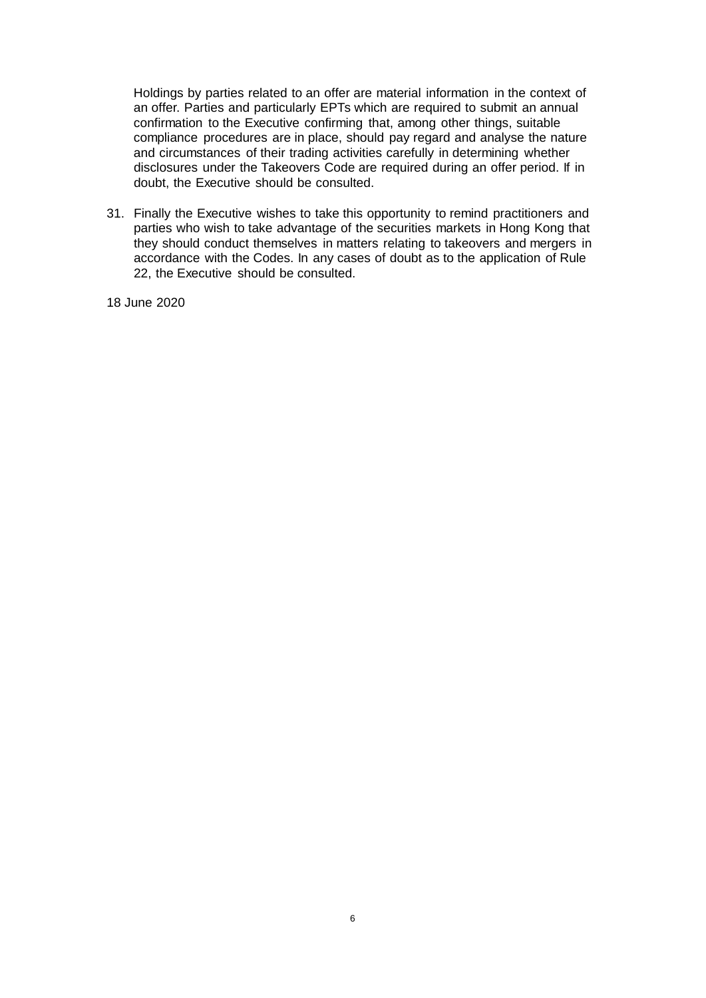Holdings by parties related to an offer are material information in the context of an offer. Parties and particularly EPTs which are required to submit an annual confirmation to the Executive confirming that, among other things, suitable compliance procedures are in place, should pay regard and analyse the nature and circumstances of their trading activities carefully in determining whether disclosures under the Takeovers Code are required during an offer period. If in doubt, the Executive should be consulted.

31. Finally the Executive wishes to take this opportunity to remind practitioners and parties who wish to take advantage of the securities markets in Hong Kong that they should conduct themselves in matters relating to takeovers and mergers in accordance with the Codes. In any cases of doubt as to the application of Rule 22, the Executive should be consulted.

18 June 2020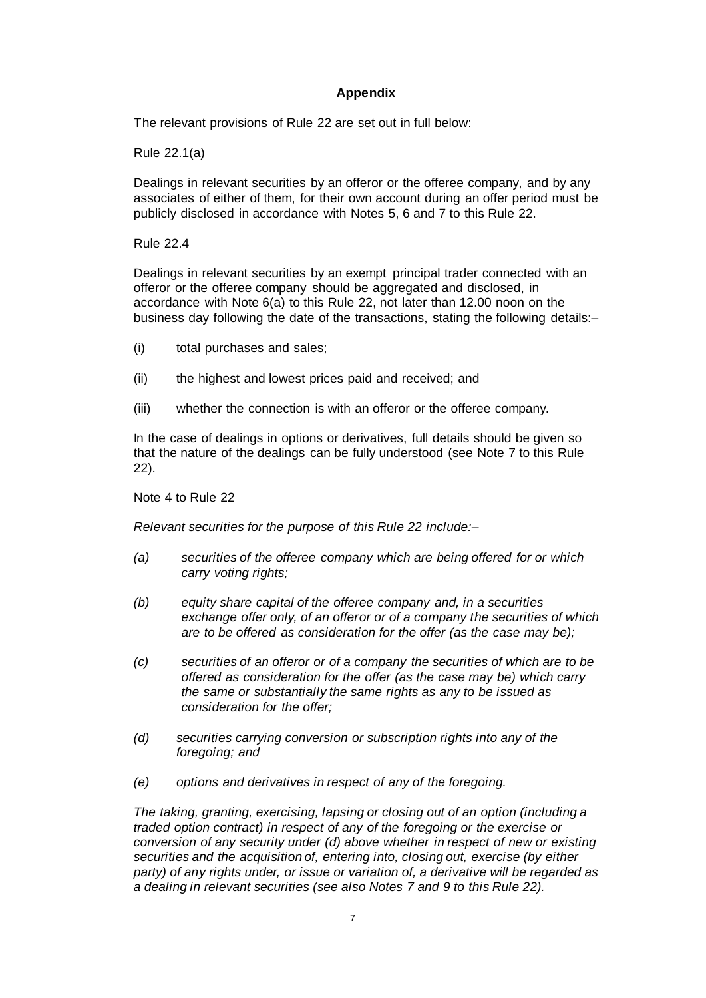# **Appendix**

The relevant provisions of Rule 22 are set out in full below:

Rule 22.1(a)

Dealings in relevant securities by an offeror or the offeree company, and by any associates of either of them, for their own account during an offer period must be publicly disclosed in accordance with Notes 5, 6 and 7 to this Rule 22.

Rule 22.4

Dealings in relevant securities by an exempt principal trader connected with an offeror or the offeree company should be aggregated and disclosed, in accordance with Note 6(a) to this Rule 22, not later than 12.00 noon on the business day following the date of the transactions, stating the following details:–

- (i) total purchases and sales;
- (ii) the highest and lowest prices paid and received; and
- (iii) whether the connection is with an offeror or the offeree company.

In the case of dealings in options or derivatives, full details should be given so that the nature of the dealings can be fully understood (see Note 7 to this Rule 22).

Note 4 to Rule 22

*Relevant securities for the purpose of this Rule 22 include:–*

- *(a) securities of the offeree company which are being offered for or which carry voting rights;*
- *(b) equity share capital of the offeree company and, in a securities exchange offer only, of an offeror or of a company the securities of which are to be offered as consideration for the offer (as the case may be);*
- *(c) securities of an offeror or of a company the securities of which are to be offered as consideration for the offer (as the case may be) which carry the same or substantially the same rights as any to be issued as consideration for the offer;*
- *(d) securities carrying conversion or subscription rights into any of the foregoing; and*
- *(e) options and derivatives in respect of any of the foregoing.*

*The taking, granting, exercising, lapsing or closing out of an option (including a traded option contract) in respect of any of the foregoing or the exercise or conversion of any security under (d) above whether in respect of new or existing securities and the acquisition of, entering into, closing out, exercise (by either party) of any rights under, or issue or variation of, a derivative will be regarded as a dealing in relevant securities (see also Notes 7 and 9 to this Rule 22).*